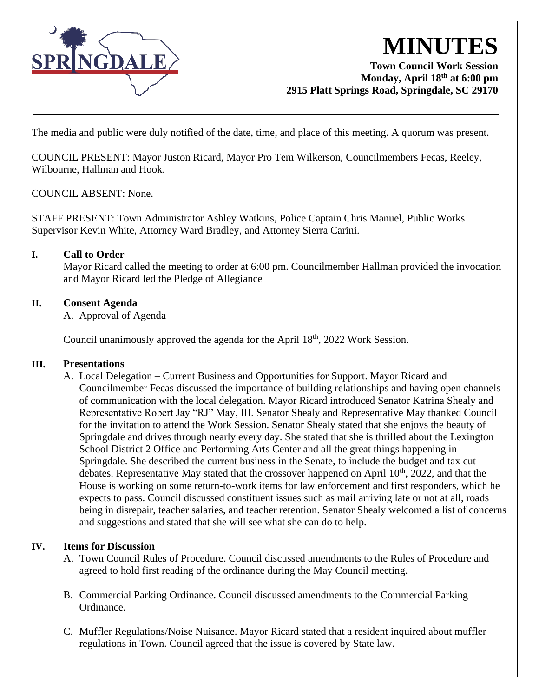

# **MINUTES**

#### **Town Council Work Session Monday, April 18th at 6:00 pm 2915 Platt Springs Road, Springdale, SC 29170**

The media and public were duly notified of the date, time, and place of this meeting. A quorum was present.

COUNCIL PRESENT: Mayor Juston Ricard, Mayor Pro Tem Wilkerson, Councilmembers Fecas, Reeley, Wilbourne, Hallman and Hook.

COUNCIL ABSENT: None.

STAFF PRESENT: Town Administrator Ashley Watkins, Police Captain Chris Manuel, Public Works Supervisor Kevin White, Attorney Ward Bradley, and Attorney Sierra Carini.

## **I. Call to Order**

Mayor Ricard called the meeting to order at 6:00 pm. Councilmember Hallman provided the invocation and Mayor Ricard led the Pledge of Allegiance

### **II. Consent Agenda**

A. Approval of Agenda

Council unanimously approved the agenda for the April  $18<sup>th</sup>$ , 2022 Work Session.

#### **III. Presentations**

A. Local Delegation – Current Business and Opportunities for Support. Mayor Ricard and Councilmember Fecas discussed the importance of building relationships and having open channels of communication with the local delegation. Mayor Ricard introduced Senator Katrina Shealy and Representative Robert Jay "RJ" May, III. Senator Shealy and Representative May thanked Council for the invitation to attend the Work Session. Senator Shealy stated that she enjoys the beauty of Springdale and drives through nearly every day. She stated that she is thrilled about the Lexington School District 2 Office and Performing Arts Center and all the great things happening in Springdale. She described the current business in the Senate, to include the budget and tax cut debates. Representative May stated that the crossover happened on April  $10<sup>th</sup>$ , 2022, and that the House is working on some return-to-work items for law enforcement and first responders, which he expects to pass. Council discussed constituent issues such as mail arriving late or not at all, roads being in disrepair, teacher salaries, and teacher retention. Senator Shealy welcomed a list of concerns and suggestions and stated that she will see what she can do to help.

#### **IV. Items for Discussion**

- A. Town Council Rules of Procedure. Council discussed amendments to the Rules of Procedure and agreed to hold first reading of the ordinance during the May Council meeting.
- B. Commercial Parking Ordinance. Council discussed amendments to the Commercial Parking Ordinance.
- C. Muffler Regulations/Noise Nuisance. Mayor Ricard stated that a resident inquired about muffler regulations in Town. Council agreed that the issue is covered by State law.